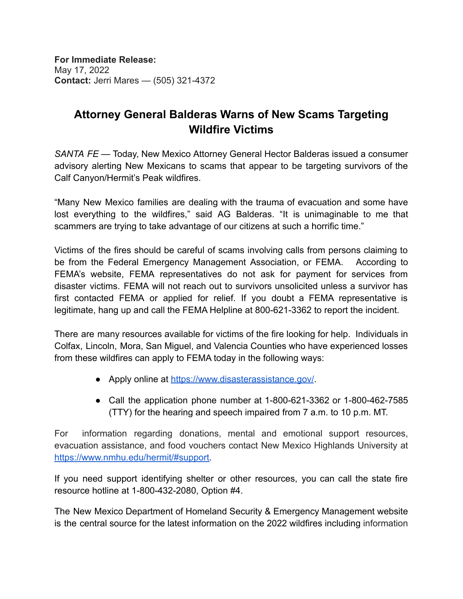**For Immediate Release:** May 17, 2022 **Contact:** Jerri Mares — (505) 321-4372

## **Attorney General Balderas Warns of New Scams Targeting Wildfire Victims**

*SANTA FE* — Today, New Mexico Attorney General Hector Balderas issued a consumer advisory alerting New Mexicans to scams that appear to be targeting survivors of the Calf Canyon/Hermit's Peak wildfires.

"Many New Mexico families are dealing with the trauma of evacuation and some have lost everything to the wildfires," said AG Balderas. "It is unimaginable to me that scammers are trying to take advantage of our citizens at such a horrific time."

Victims of the fires should be careful of scams involving calls from persons claiming to be from the Federal Emergency Management Association, or FEMA. According to FEMA's website, FEMA representatives do not ask for payment for services from disaster victims. FEMA will not reach out to survivors unsolicited unless a survivor has first contacted FEMA or applied for relief. If you doubt a FEMA representative is legitimate, hang up and call the FEMA Helpline at 800-621-3362 to report the incident.

There are many resources available for victims of the fire looking for help. Individuals in Colfax, Lincoln, Mora, San Miguel, and Valencia Counties who have experienced losses from these wildfires can apply to FEMA today in the following ways:

- Apply online at <https://www.disasterassistance.gov/>
- Call the application phone number at 1-800-621-3362 or 1-800-462-7585 (TTY) for the hearing and speech impaired from 7 a.m. to 10 p.m. MT.

For information regarding donations, mental and emotional support resources, evacuation assistance, and food vouchers contact New Mexico Highlands University at [https://www.nmhu.edu/hermit/#support.](https://www.nmhu.edu/hermit/#support)

If you need support identifying shelter or other resources, you can call the state fire resource hotline at 1-800-432-2080, Option #4.

The New Mexico Department of Homeland Security & Emergency Management website is the central source for the latest information on the 2022 wildfires including information